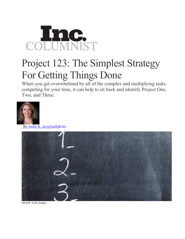

## Project 123: The Simplest Strategy For Getting Things Done

When you get overwhelmed by all of the complex and multiplying tasks competing for your time, it can help to sit back and identify Project One, Two, and Three.



By Joelle K. [Jay@JoelleKJay](http://www.inc.com/author/joelle-k-jay)



IMAGE: Getty Images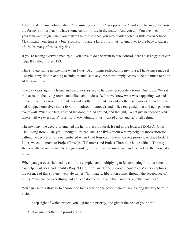I often write on my column about "maximizing your time" as opposed to "work-life balance," because the former implies that you have some control or say in the matter. And you do! You *are* in control of your time--although, when you realize the truth of that, you may suddenly feel a little overwhelmed. Maximizing your time is a big responsibility and a far cry from just giving over to the busy craziness of life (as many of us usually do).

If you're feeling overwhelmed by all you have to do and want to take control, here's a strategy that can help. It's called Project 123.

This strategy came up one time when I was--of all things redecorating my house. I have since made it a staple in my time-planning techniques and use it anytime there simply seems to be too much to do to fit the time I have.

One day years ago, my friend and decorator arrived to help me redecorate a room. One room. We sat in that room, the living room, and talked about ideas. Before we knew what was happening, we had moved to another room (more ideas) and another (more ideas) and another (still more). In an hour we had whipped ourselves into a fervor of bathroom remodels and office reorganization and new paint on every wall. When she left, I closed the door, turned around, and thought, "What just happened? And where will we ever start?" It felt so overwhelming, I just walked away and left it all behind.

The next day, the decorator emailed me her project proposal. It said in big letters, PROJECT ONE: The Living Room. Oh, yes, I thought. Project One. The living room was my original motivation for calling the decorator! She remembered when I had forgotten: There was one priority. A place to start. Later, we could move to Project Two (the TV room) and Project Three (the home office). The way she crystallized our plans into a logical order, they all made sense again, and we tackled them one at a time.

When you get overwhelmed by all of the complex and multiplying tasks competing for your time, it can help to sit back and identify Project One, Two, and Three. George Leonard of Mastery captures the essence of this strategy well. He writes, "Ultimately, liberation comes through the acceptance of limits. You can't do everything, but you can do one thing, and then another, and then another."

You can use this strategy to choose one focus area or one action item to tackle along the way to your vision:

- 1. Keep sight of which project you'll grant top priority, and give it the best of your time.
- 2. Now number them in priority order.